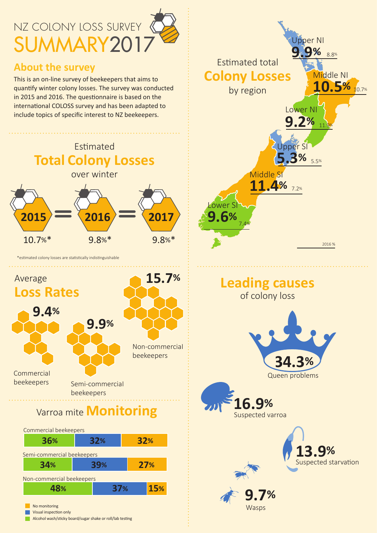## NZ COLONY LOSS SURVEY SUMMARY2017 **Jpper NI**  $\mathbf{Q}$ % 8.8% **Estimated total About the survey Colony Losses** Middle NI This is an on-line survey of beekeepers that aims to 10.5% 10.7% quantify winter colony losses. The survey was conducted by region in 2015 and 2016. The questionnaire is based on the international COLOSS survey and has been adapted to Lower NI include topics of specific interest to NZ beekeepers.  $9.2%$ Upper SI Estimated **Total Colony Losses 3%**  $5.5%$ Middle SI over winter  $11.4%$ Lower SI 9.6% 2015 2016 2017  $10.7%$  $9.8%$ \*  $9.8%$ \* 2016 % \*estimated colony losses are statistically indistinguishable 15.7% Average **Leading causes Loss Rates** of colony loss 9.4% 9.9% Non-commercial beekeepers Commercial Queen problems beekeepers Semi-commercial beekeepers  $6.9%$

Suspected varroa

Wasps

Suspected starvation

## Varroa mite **Monitoring**



Alcohol wash/sticky board/sugar shake or roll/lab testing

No monitoring

Visual inspection only